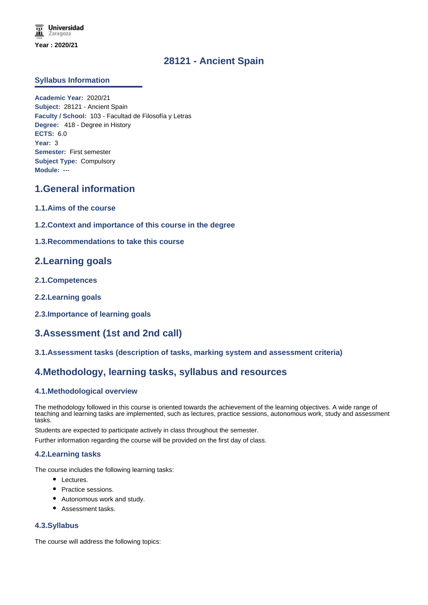## **28121 - Ancient Spain**

### **Syllabus Information**

**Academic Year:** 2020/21 **Subject:** 28121 - Ancient Spain **Faculty / School:** 103 - Facultad de Filosofía y Letras **Degree:** 418 - Degree in History **ECTS:** 6.0 **Year:** 3 **Semester:** First semester **Subject Type:** Compulsory **Module:** ---

# **1.General information**

- **1.1.Aims of the course**
- **1.2.Context and importance of this course in the degree**
- **1.3.Recommendations to take this course**

## **2.Learning goals**

- **2.1.Competences**
- **2.2.Learning goals**
- **2.3.Importance of learning goals**

# **3.Assessment (1st and 2nd call)**

**3.1.Assessment tasks (description of tasks, marking system and assessment criteria)**

## **4.Methodology, learning tasks, syllabus and resources**

## **4.1.Methodological overview**

The methodology followed in this course is oriented towards the achievement of the learning objectives. A wide range of teaching and learning tasks are implemented, such as lectures, practice sessions, autonomous work, study and assessment tasks.

Students are expected to participate actively in class throughout the semester.

Further information regarding the course will be provided on the first day of class.

### **4.2.Learning tasks**

The course includes the following learning tasks:

- Lectures.
- Practice sessions.
- Autonomous work and study.
- Assessment tasks.

### **4.3.Syllabus**

The course will address the following topics: